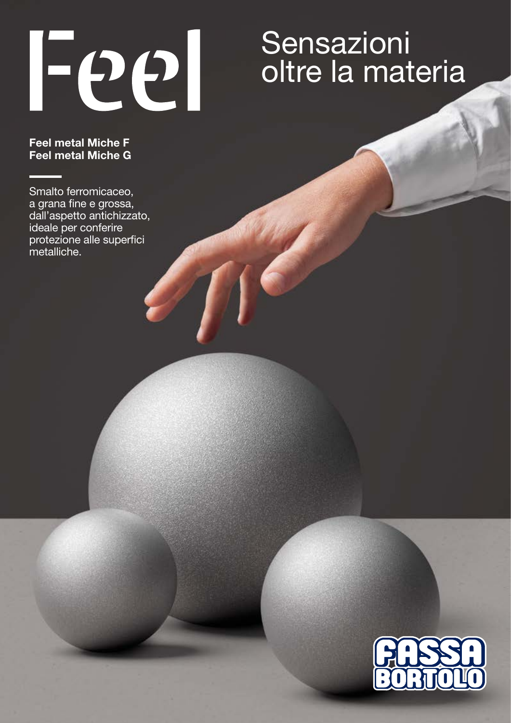

# Sensazioni oltre la materia

Feel metal Miche F Feel metal Miche G

Smalto ferromicaceo, a grana fine e grossa, dall'aspetto antichizzato, ideale per conferire protezione alle superfici metalliche.

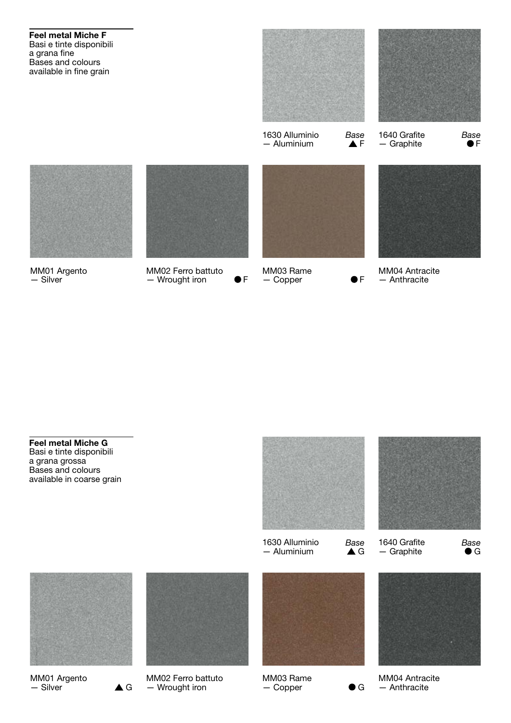Feel metal Miche F Basi e tinte disponibili a grana fine Bases and colours available in fine grain



1630 Alluminio — Aluminium



MM01 Argento — Silver



MM02 Ferro battuto — Wrought iron



MM03 Rame — Copper

**OF** 



**OF** 

*Base*

MM04 Antracite — Anthracite

1640 Grafite — Graphite

**OF** 

 $\overline{\blacktriangle}$  F

*Base*

Feel metal Miche G Basi e tinte disponibili a grana grossa Bases and colours available in coarse grain



1630 Alluminio — Aluminium

1640 Grafite

 G G — Graphite *Base*



MM01 Argento — Silver



G – Wrought iron – Copper ● G MM02 Ferro battuto



MM03 Rame — Copper



MM04 Antracite — Anthracite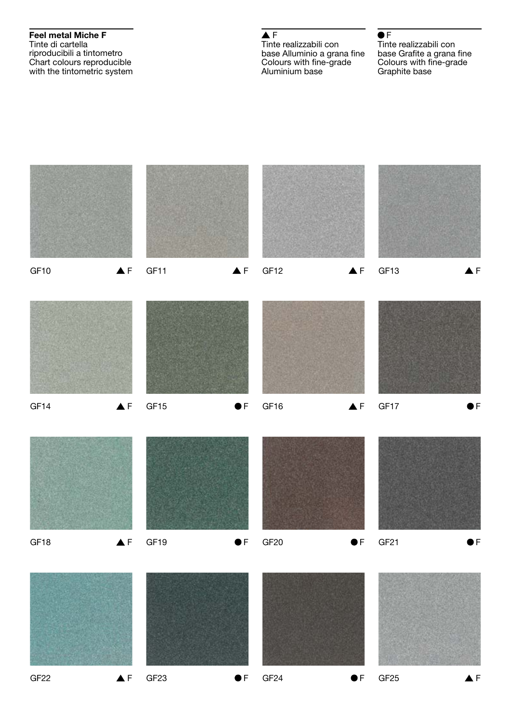Feel metal Miche F Tinte di cartella riproducibili a tintometro Chart colours reproducible with the tintometric system

### $\blacktriangle \overline{F}$

Tinte realizzabili con base Alluminio a grana fine Colours with fine-grade Aluminium base

#### Tinte realizzabili con base Grafite a grana fine Colours with fine-grade Graphite base **OF**

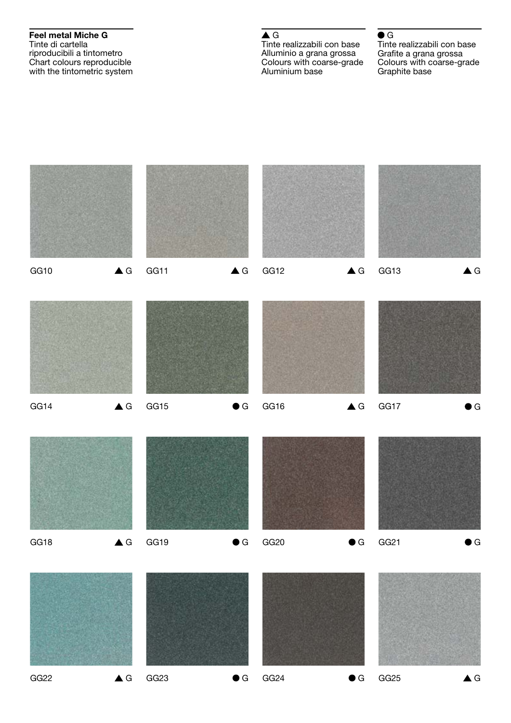Feel metal Miche G Tinte di cartella riproducibili a tintometro Chart colours reproducible with the tintometric system

#### $\triangle$  G

Tinte realizzabili con base Alluminio a grana grossa Colours with coarse-grade Aluminium base

#### **O**G

Tinte realizzabili con base Grafite a grana grossa Colours with coarse-grade Graphite base

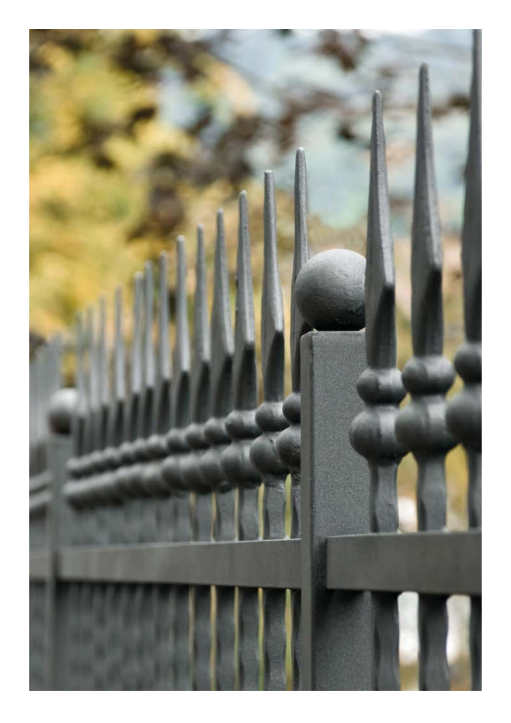